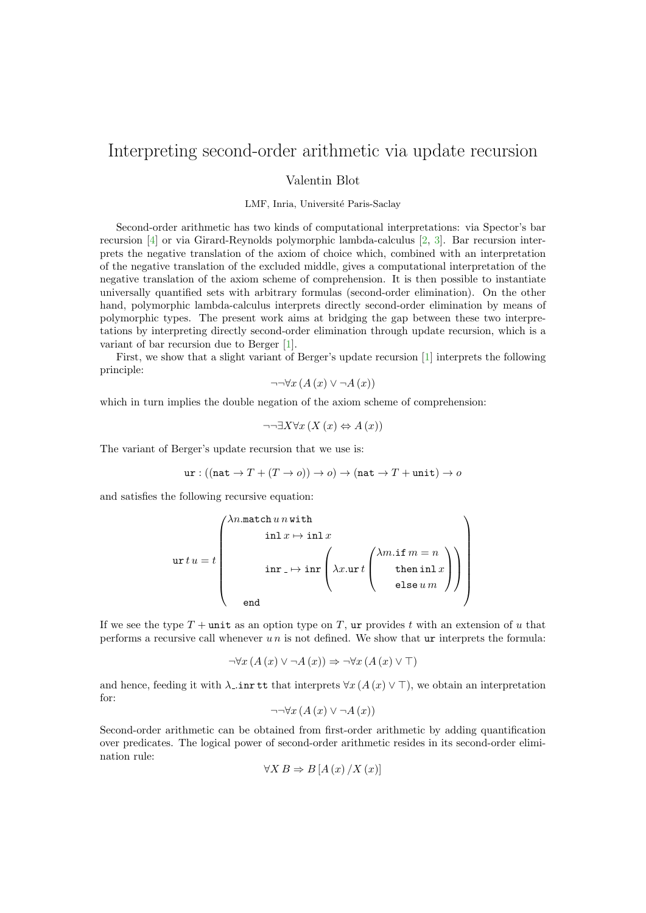## Interpreting second-order arithmetic via update recursion

Valentin Blot

LMF, Inria, Université Paris-Saclay

Second-order arithmetic has two kinds of computational interpretations: via Spector's bar recursion [\[4\]](#page-1-0) or via Girard-Reynolds polymorphic lambda-calculus [\[2,](#page-1-1) [3\]](#page-1-2). Bar recursion interprets the negative translation of the axiom of choice which, combined with an interpretation of the negative translation of the excluded middle, gives a computational interpretation of the negative translation of the axiom scheme of comprehension. It is then possible to instantiate universally quantified sets with arbitrary formulas (second-order elimination). On the other hand, polymorphic lambda-calculus interprets directly second-order elimination by means of polymorphic types. The present work aims at bridging the gap between these two interpretations by interpreting directly second-order elimination through update recursion, which is a variant of bar recursion due to Berger [\[1\]](#page-1-3).

First, we show that a slight variant of Berger's update recursion [\[1\]](#page-1-3) interprets the following principle:

$$
\neg\neg\forall x\left(A\left(x\right)\vee\neg A\left(x\right)\right)
$$

which in turn implies the double negation of the axiom scheme of comprehension:

$$
\neg\neg \exists X \forall x \left( X \left( x \right) \Leftrightarrow A \left( x \right) \right)
$$

The variant of Berger's update recursion that we use is:

$$
\mathtt{ur} : ((\mathtt{nat} \to T + (T \to o)) \to o) \to (\mathtt{nat} \to T + \mathtt{unit}) \to o
$$

and satisfies the following recursive equation:

ur t u = t λn.match u n with inl x 7→ inl x inr 7→ inr λx.ur t λm.if m = n then inl x else u m end 

If we see the type  $T$  + unit as an option type on T, ur provides t with an extension of u that performs a recursive call whenever  $u n$  is not defined. We show that ur interprets the formula:

$$
\neg \forall x \left( A\left(x\right) \lor \neg A\left(x\right) \right) \Rightarrow \neg \forall x \left( A\left(x\right) \lor \top\right)
$$

and hence, feeding it with  $\lambda$  inr tt that interprets  $\forall x (A(x) \vee \top)$ , we obtain an interpretation for:

$$
\neg\neg\forall x\left(A\left(x\right)\vee\neg A\left(x\right)\right)
$$

Second-order arithmetic can be obtained from first-order arithmetic by adding quantification over predicates. The logical power of second-order arithmetic resides in its second-order elimination rule:

$$
\forall X\,B\Rightarrow B\left[A\left(x\right)/X\left(x\right)\right]
$$